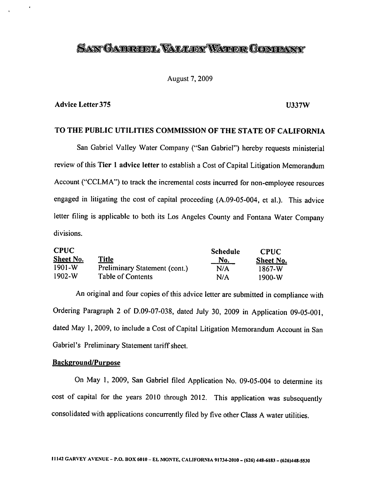# SAN GABROEL VALLEY WATER COMPANY

### August 7, 2009

### Advice Letter 375 U337W

### TO THE PUBLIC UTILITIES COMMISSION OF THE STATE OF CALIFORNIA

San Gabriel Valley Water Company ("San Gabriel") hereby requests ministerial review of this Tier 1 advice letter to establish a Cost of Capital Litigation Memorandum Account ("CCLMA") to track the incremental costs incurred for non-employee resources engaged in litigating the cost of capital proceeding (A.09-05-004, et al.). This advice letter filing is applicable to both its Los Angeles County and Fontana Water Company divisions.

| <b>CPUC</b> |                                      | <b>Schedule</b><br><u>No.</u> | <b>CPUC</b><br>Sheet No. |
|-------------|--------------------------------------|-------------------------------|--------------------------|
| Sheet No.   | <b>Title</b>                         |                               |                          |
| $1901-W$    | <b>Preliminary Statement (cont.)</b> | N/A                           | 1867-W                   |
| $1902-W$    | <b>Table of Contents</b>             | N/A                           | 1900-W                   |

An original and four copies of this advice letter are submitted in compliance with Ordering Paragraph 2 of D.09-07-038, dated July 30, 2009 in Application 09-05-001, dated May 1, 2009, to include a Cost of Capital Litigation Memorandum Account in San Gabriel's Preliminary Statement tariff sheet.

## Background/Purpose

On May 1, 2009, San Gabriel filed Application No. 09-05-004 to determine its cost of capital for the years 2010 through 2012. This application was subsequently consolidated with applications concurrently filed by five other Class A water utilities.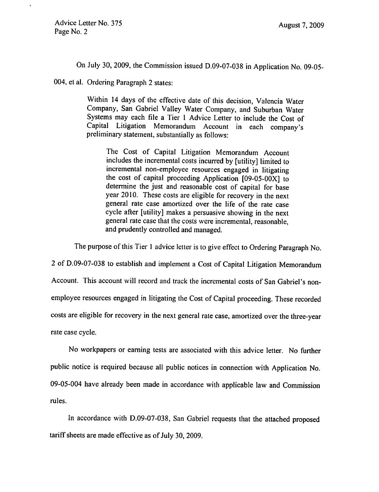On July 30, 2009, the Commission issued D.09-07-038 in Application No. 09-05-

004, et al. Ordering Paragraph 2 states:

Within 14 days of the effective date of this decision, Valencia Water Company, San Gabriel Valley Water Company, and Suburban Water Systems may each file a Tier 1 Advice Letter to include the Cost of Capital Litigation Memorandum Account in each company's preliminary statement, substantially as follows:

The Cost of Capital Litigation Memorandum Account includes the incremental costs incurred by [utility] limited to incremental non-employee resources engaged in litigating the cost of capital proceeding Application [09-05-OOX] to determine the just and reasonable cost of capital for base year 2010. These costs are eligible for recovery in the next general rate case amortized over the life of the rate case cycle after [utility] makes a persuasive showing in the next general rate case that the costs were incremental, reasonable, and prudently controlled and managed.

The purpose of this Tier 1 advice letter is to give effect to Ordering Paragraph No.

2 of D.09-07-038 to establish and implement a Cost of Capital Litigation Memorandum Account. This account will record and track the incremental costs of San Gabriel's nonemployee resources engaged in litigating the Cost of Capital proceeding. These recorded costs are eligible for recovery in the next general rate case, amortized over the three-year rate case cycle.

No workpapers or earning tests are associated with this advice letter. No further public notice is required because all public notices in connection with Application No. 09-05-004 have already been made in accordance with applicable law and Commission rules.

In accordance with D.09-07-038, San Gabriel requests that the attached proposed tariff sheets are made effective as of July 30, 2009.